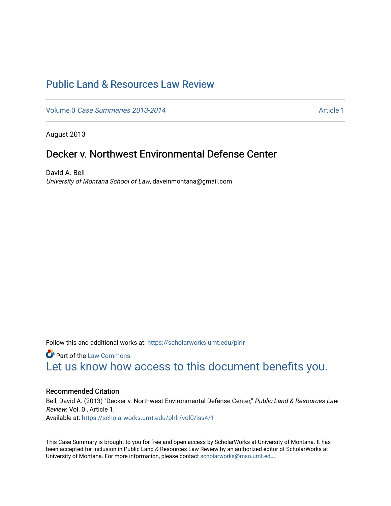# [Public Land & Resources Law Review](https://scholarworks.umt.edu/plrlr)

Volume 0 [Case Summaries 2013-2014](https://scholarworks.umt.edu/plrlr/vol0) Article 1

August 2013

## Decker v. Northwest Environmental Defense Center

David A. Bell University of Montana School of Law, daveinmontana@gmail.com

Follow this and additional works at: [https://scholarworks.umt.edu/plrlr](https://scholarworks.umt.edu/plrlr?utm_source=scholarworks.umt.edu%2Fplrlr%2Fvol0%2Fiss4%2F1&utm_medium=PDF&utm_campaign=PDFCoverPages) 

**Part of the [Law Commons](http://network.bepress.com/hgg/discipline/578?utm_source=scholarworks.umt.edu%2Fplrlr%2Fvol0%2Fiss4%2F1&utm_medium=PDF&utm_campaign=PDFCoverPages)** [Let us know how access to this document benefits you.](https://goo.gl/forms/s2rGfXOLzz71qgsB2) 

#### Recommended Citation

Bell, David A. (2013) "Decker v. Northwest Environmental Defense Center," Public Land & Resources Law Review: Vol. 0 , Article 1. Available at: [https://scholarworks.umt.edu/plrlr/vol0/iss4/1](https://scholarworks.umt.edu/plrlr/vol0/iss4/1?utm_source=scholarworks.umt.edu%2Fplrlr%2Fvol0%2Fiss4%2F1&utm_medium=PDF&utm_campaign=PDFCoverPages) 

This Case Summary is brought to you for free and open access by ScholarWorks at University of Montana. It has been accepted for inclusion in Public Land & Resources Law Review by an authorized editor of ScholarWorks at University of Montana. For more information, please contact [scholarworks@mso.umt.edu.](mailto:scholarworks@mso.umt.edu)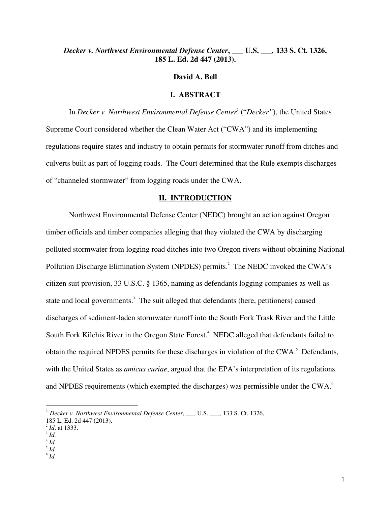## *Decker v. Northwest Environmental Defense Center***,** *\_\_\_* **U.S.** *\_\_\_,* **133 S. Ct. 1326, 185 L. Ed. 2d 447 (2013).**

#### **David A. Bell**

#### **I. ABSTRACT**

In *Decker v. Northwest Environmental Defense Center<sup>1</sup> ("Decker"), the United States* Supreme Court considered whether the Clean Water Act ("CWA") and its implementing regulations require states and industry to obtain permits for stormwater runoff from ditches and culverts built as part of logging roads. The Court determined that the Rule exempts discharges of "channeled stormwater" from logging roads under the CWA.

#### **II. INTRODUCTION**

 Northwest Environmental Defense Center (NEDC) brought an action against Oregon timber officials and timber companies alleging that they violated the CWA by discharging polluted stormwater from logging road ditches into two Oregon rivers without obtaining National Pollution Discharge Elimination System (NPDES) permits.<sup>2</sup> The NEDC invoked the CWA's citizen suit provision, 33 U.S.C. § 1365, naming as defendants logging companies as well as state and local governments.<sup>3</sup> The suit alleged that defendants (here, petitioners) caused discharges of sediment-laden stormwater runoff into the South Fork Trask River and the Little South Fork Kilchis River in the Oregon State Forest.<sup>4</sup> NEDC alleged that defendants failed to obtain the required NPDES permits for these discharges in violation of the CWA. $^5$  Defendants, with the United States as *amicus curiae*, argued that the EPA's interpretation of its regulations and NPDES requirements (which exempted the discharges) was permissible under the CWA. $^6$ 

-

<sup>1</sup> *Decker v. Northwest Environmental Defense Center*, *\_\_\_* U.S. *\_\_\_,* 133 S. Ct. 1326,

<sup>185</sup> L. Ed. 2d 447 (2013).

<sup>2</sup> *Id*. at 1333.

<sup>3</sup> *Id.*

 $^4$  *Id.* 

<sup>5</sup> *Id.*

<sup>6</sup> *Id.*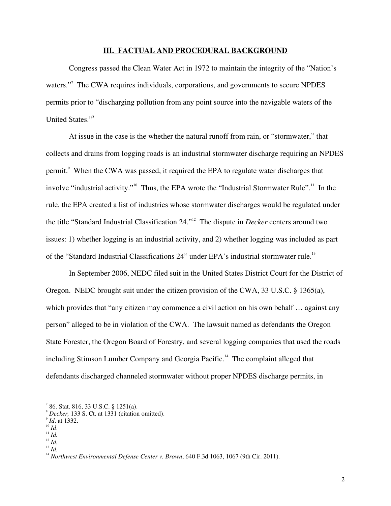#### **III. FACTUAL AND PROCEDURAL BACKGROUND**

 Congress passed the Clean Water Act in 1972 to maintain the integrity of the "Nation's waters."<sup>7</sup> The CWA requires individuals, corporations, and governments to secure NPDES permits prior to "discharging pollution from any point source into the navigable waters of the United States."<sup>8</sup>

 At issue in the case is the whether the natural runoff from rain, or "stormwater," that collects and drains from logging roads is an industrial stormwater discharge requiring an NPDES permit.<sup>9</sup> When the CWA was passed, it required the EPA to regulate water discharges that involve "industrial activity."<sup>10</sup> Thus, the EPA wrote the "Industrial Stormwater Rule".<sup>11</sup> In the rule, the EPA created a list of industries whose stormwater discharges would be regulated under the title "Standard Industrial Classification 24."<sup>12</sup> The dispute in *Decker* centers around two issues: 1) whether logging is an industrial activity, and 2) whether logging was included as part of the "Standard Industrial Classifications 24" under EPA's industrial stormwater rule.<sup>13</sup>

 In September 2006, NEDC filed suit in the United States District Court for the District of Oregon. NEDC brought suit under the citizen provision of the CWA, 33 U.S.C. § 1365(a), which provides that "any citizen may commence a civil action on his own behalf ... against any person" alleged to be in violation of the CWA. The lawsuit named as defendants the Oregon State Forester, the Oregon Board of Forestry, and several logging companies that used the roads including Stimson Lumber Company and Georgia Pacific.<sup>14</sup> The complaint alleged that defendants discharged channeled stormwater without proper NPDES discharge permits, in

1

<sup>7</sup> 86. Stat. 816, 33 U.S.C. § 1251(a).

<sup>8</sup> *Decker,* 133 S. Ct. at 1331 (citation omitted).

<sup>9</sup> *Id*. at 1332.

<sup>10</sup> *Id*.

 $\prod_{i=1}^{11} Id.$ 

 $\int_{12}^{12}$  *Id.* 

<sup>13</sup> *Id.*

<sup>&</sup>lt;sup>14</sup> *Northwest Environmental Defense Center v. Brown*, 640 F.3d 1063, 1067 (9th Cir. 2011).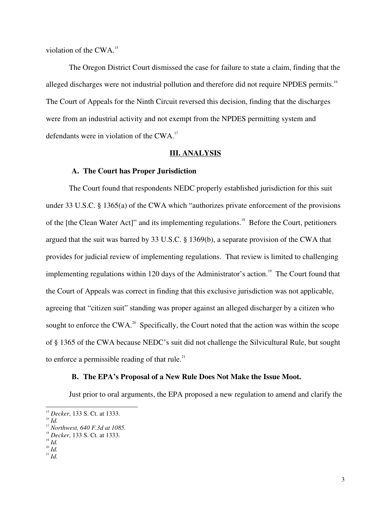violation of the  $CWA$ <sup>15</sup>

 The Oregon District Court dismissed the case for failure to state a claim, finding that the alleged discharges were not industrial pollution and therefore did not require NPDES permits.<sup>16</sup> The Court of Appeals for the Ninth Circuit reversed this decision, finding that the discharges were from an industrial activity and not exempt from the NPDES permitting system and defendants were in violation of the CWA. $^{17}$ 

#### **III. ANALYSIS**

#### **A. The Court has Proper Jurisdiction**

 The Court found that respondents NEDC properly established jurisdiction for this suit under 33 U.S.C. § 1365(a) of the CWA which "authorizes private enforcement of the provisions of the [the Clean Water Act]" and its implementing regulations.<sup>18</sup> Before the Court, petitioners argued that the suit was barred by 33 U.S.C. § 1369(b), a separate provision of the CWA that provides for judicial review of implementing regulations. That review is limited to challenging implementing regulations within 120 days of the Administrator's action.<sup>19</sup> The Court found that the Court of Appeals was correct in finding that this exclusive jurisdiction was not applicable, agreeing that "citizen suit" standing was proper against an alleged discharger by a citizen who sought to enforce the CWA.<sup>20</sup> Specifically, the Court noted that the action was within the scope of § 1365 of the CWA because NEDC's suit did not challenge the Silvicultural Rule, but sought to enforce a permissible reading of that rule. $21$ 

### **B. The EPA's Proposal of a New Rule Does Not Make the Issue Moot.**

Just prior to oral arguments, the EPA proposed a new regulation to amend and clarify the

 $\overline{a}$ 

<sup>15</sup> *Decker*, 133 S. Ct. at 1333.

<sup>16</sup> *Id.*

<sup>17</sup> *Northwest, 640 F.3d at 1085.* 

<sup>18</sup> *Decker*, 133 S. Ct. at 1333*.*

<sup>19</sup> *Id. <sup>20</sup> Id.*

 $\int_{21}^{1}$  *Id.*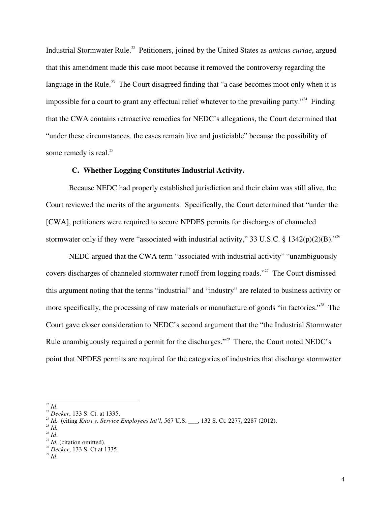Industrial Stormwater Rule.<sup>22</sup> Petitioners, joined by the United States as *amicus curiae*, argued that this amendment made this case moot because it removed the controversy regarding the language in the Rule.<sup>23</sup> The Court disagreed finding that "a case becomes moot only when it is impossible for a court to grant any effectual relief whatever to the prevailing party.<sup> $24$ </sup> Finding that the CWA contains retroactive remedies for NEDC's allegations, the Court determined that "under these circumstances, the cases remain live and justiciable" because the possibility of some remedy is real. $^{25}$ 

#### **C. Whether Logging Constitutes Industrial Activity.**

Because NEDC had properly established jurisdiction and their claim was still alive, the Court reviewed the merits of the arguments. Specifically, the Court determined that "under the [CWA], petitioners were required to secure NPDES permits for discharges of channeled stormwater only if they were "associated with industrial activity," 33 U.S.C. § 1342(p)(2)(B)."<sup>26</sup>

 NEDC argued that the CWA term "associated with industrial activity" "unambiguously covers discharges of channeled stormwater runoff from logging roads."<sup>27</sup> The Court dismissed this argument noting that the terms "industrial" and "industry" are related to business activity or more specifically, the processing of raw materials or manufacture of goods "in factories."<sup>28</sup> The Court gave closer consideration to NEDC's second argument that the "the Industrial Stormwater Rule unambiguously required a permit for the discharges."<sup>29</sup> There, the Court noted NEDC's point that NPDES permits are required for the categories of industries that discharge stormwater

<sup>1</sup>  $^{22}$  *Id.* 

<sup>23</sup> *Decker*, 133 S. Ct. at 1335.

<sup>24</sup> *Id.* (citing *Knox v. Service Employees Int'l*, 567 U.S. \_\_\_, 132 S. Ct. 2277, 2287 (2012).

<sup>25</sup> *Id.*

<sup>26</sup> *Id*.

 $^{27}$  *Id.* (citation omitted).

<sup>28</sup> *Decker*, 133 S. Ct at 1335.

 $\frac{29}{10}$ .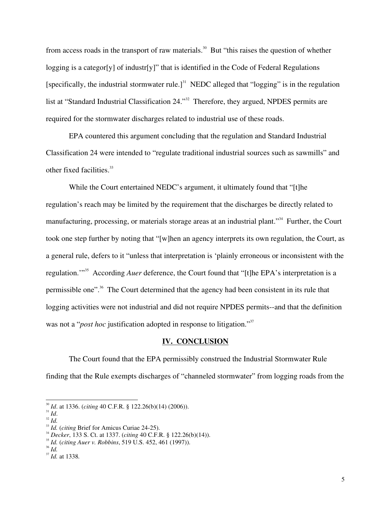from access roads in the transport of raw materials.<sup>30</sup> But "this raises the question of whether logging is a categor [y] of industr [y]" that is identified in the Code of Federal Regulations [specifically, the industrial stormwater rule.]<sup>31</sup> NEDC alleged that "logging" is in the regulation list at "Standard Industrial Classification 24."<sup>32</sup> Therefore, they argued, NPDES permits are required for the stormwater discharges related to industrial use of these roads.

 EPA countered this argument concluding that the regulation and Standard Industrial Classification 24 were intended to "regulate traditional industrial sources such as sawmills" and other fixed facilities.<sup>33</sup>

 While the Court entertained NEDC's argument, it ultimately found that "[t]he regulation's reach may be limited by the requirement that the discharges be directly related to manufacturing, processing, or materials storage areas at an industrial plant."<sup>34</sup> Further, the Court took one step further by noting that "[w]hen an agency interprets its own regulation, the Court, as a general rule, defers to it "unless that interpretation is 'plainly erroneous or inconsistent with the regulation."<sup>35</sup> According *Auer* deference, the Court found that "[t]he EPA's interpretation is a permissible one"<sup>36</sup>. The Court determined that the agency had been consistent in its rule that logging activities were not industrial and did not require NPDES permits--and that the definition was not a "*post hoc* justification adopted in response to litigation."<sup>37</sup>

#### **IV. CONCLUSION**

The Court found that the EPA permissibly construed the Industrial Stormwater Rule

finding that the Rule exempts discharges of "channeled stormwater" from logging roads from the

1

<sup>36</sup> *Id.*

<sup>30</sup> *Id*. at 1336. (*citing* 40 C.F.R. § 122.26(b)(14) (2006)).

<sup>31</sup> *Id*.

<sup>32</sup> *Id.*

<sup>&</sup>lt;sup>33</sup> *Id.* (*citing* Brief for Amicus Curiae 24-25).

<sup>34</sup> *Decker*, 133 S. Ct. at 1337. (*citing* 40 C.F.R. § 122.26(b)(14)).

<sup>35</sup> *Id.* (*citing Auer v. Robbins*, 519 U.S. 452, 461 (1997)).

<sup>37</sup> *Id.* at 1338*.*